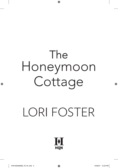# The Honeymoon Cottage

 $\bigoplus$ 

# LORI FOSTER

**HQN** 

 $\bigoplus$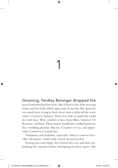## Groaning, Yardley Belanger dropped the

1

⊕

pencil and stretched her back. She'd been at her desk too long today and her body didn't appreciate it one bit. She spent far too much time trying to find clever ways to play off the town name. Cemetery, Indiana. There was only so much she could do with that. Why couldn't it have been Bliss, Indiana? Or Romance, Indiana. Those names would have worked perfectly for a wedding planner. But no, Cemetery it was, and apparently Cemetery it would stay.

Sentiment and tradition, especially when it came to horrible old names, could really crowd out practicality.

Raising her arms high, she twisted this way and that, unkinking her muscles before attempting to focus again. She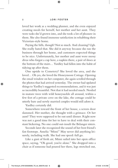⊕

loved her work as a wedding planner, and she even enjoyed creating meals for herself, her mother and her aunt. They were tasks she'd grown into, and she took a lot of pleasure in them. She also found immense satisfaction in rehabbing their Victorian-style home.

Paying the bills, though? Not so much. And cleaning? Ugh. She really hated that. She did it anyway because she ran the business through her home, and customers expected things to be nice. Unfortunately, her mother and aunt were messy divas who forgot a cup here, a napkin there, a pair of shoes at the bottom of the stairs… Yardley had fallen into the habit of tidying up after them.

One upside to Cemetery? She loved the area, and she loved… Oh yes, she loved the Honeymoon Cottage. Opening the email window on her computer, she again scrolled through the photos that had arrived yesterday. The owner had updated things to Yardley's suggested recommendations, and it was just so incredibly beautiful. Not that it had needed much. Nestled in mature trees with wild honeysuckle all around, within a few feet of a private cove on the lake, the cottage could be utterly bare and newly married couples would still adore it.

Yardley certainly did.

Somewhere toward the front of her house, a screen door slammed. Her mother, she thought with a grimace. Or her aunt? They were supposed to be out until dinner. Right now was not a good time for her to have to deal with their constant bickering. No one could out-insult the Belanger sisters.

Seconds later she recognized the sound of her best friend's fast footsteps. Amelia "Mimi" May never did anything leisurely, including walk. She had one speed: full go.

Like a gust of fresh air, Mimi sailed into her open office space, saying, "Oh good, you're alone." She dropped into a chair as if someone had poured her there, legs stretched out,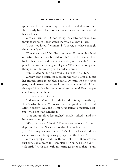⊕

spine slouched, elbows draped over the padded arms. Her short, curly blond hair bounced once before settling around her oval face.

Yardley grinned. "Good thing. A customer would've thought we were under attack the way you shot in here."

"Time, you know," Mimi said. "I never, ever have enough time these days."

"You always rush," Yardley countered. From grade school on, Mimi had left her breathless. She'd also befriended her, backed her up, offered defense and alibis, and once she'd even punched a boy for making Yardley cry. "That's not a complaint though. I'm glad to see you. I needed a break."

Mimi closed her big blue eyes and sighed. "Me, too."

Yardley didn't storm through life the way Mimi did, but her mouth often resembled a runaway train. For the most part, she'd learned to temper it, to slow down and think before speaking. But in moments of excitement? Few people could keep up with her.

Even fewer cared to try.

↔

And around Mimi? She didn't need to temper anything. That's why she and Mimi were such a good fit. She loved Mimi's energy level, and Mimi never failed to mentally keep pace with her wild ramblings.

"Not enough sleep last night?" Yardley asked. "Did the baby keep you up?"

"Well, it sure wasn't Kevin." One eye peeked open. "Sammy slept fine for once. She's six months old now but Kevin hasn't yet…" Pausing, she made a face. "It's like I had a kid and became this sexless lump taking up space in the house."

Yardley sympathized—with both of them. It wasn't the first time she'd heard this complaint. "You had such a difficult birth." With two early miscarriages prior to that. "Plus,

The Honeym\_9781335506368\_TS\_txt\_365576.indd 9  $\bigoplus$  2/15/22 8:18 AM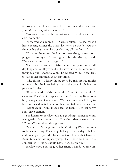⊕

it took you a while to recover. Kevin was scared to death for you. Maybe he's just still worried."

"Not so worried that he doesn't want to fish at every available moment."

"*Every* available moment?" Yardley asked. "So that wasn't him cooking dinner the other day when I came by? Or the time before that when he was cleaning all the floors?"

"Or when he mows the lawn or does the grocery shopping or cleans my car." Blowing out a breath, Mimi groaned, "Never mind me. Kevin is great."

"He is, and so are you." Mimi could complain to her all day long and Yardley would still know the truth. Sometimes, though, a girl needed to vent. She wanted Mimi to feel free to talk to her anytime, about anything.

"The thing is, I know he *wants* to be fishing. He might not say it, but he loves being out on the boat. Probably the peace and quiet."

"If he wanted to fish, he would. A lot of guys wouldn't even ask. They'd just disappear on you. I'm betting Kevin is as busy being a parent as you are." With such an adorable baby to focus on, she doubted either of them wanted much time away.

"Right again." Mimi made a face of disgust. "I'm just horny and I have cramps."

The horniness Yardley took as a good sign. It meant Mimi was getting back to normal. But the other alarmed her. "Cramps?" she asked, sitting forward.

"My period. Since giving birth, it's like my PMS is on steroids or something. The cramps last a good seven days—before and during my period. Honest to God, I wouldn't have let Kevin touch me last night anyway." Half under her breath, she complained, "But he should have tried, damn him."

Yardley stood and snagged her friend's hand. "Come on.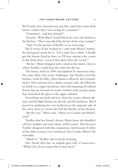⊕

We'll make that cinnamon tea you like, and I have some fresh lemon cookies that I was saving for customers."

"Customers…and best friends?"

↔

"Exactly." With Mimi's hand held in her own, she headed to the kitchen. "Have you asked the doctor about your cramps?"

"Yup. I'm the picture of health, so no worrying."

She'd worry if she wanted to—and with Mimi's history, she had good reason for it. "Let's relax for a while. I finally got the buzzer fixed in here, so I'll hear anyone who comes in the front door—even if they don't slam the screen."

"Ha ha." Mimi dropped onto a stool at the island, close to where Yardley would heat the water for the tea.

The house, built in 1900 and updated by numerous families since then, had many challenges, but Yardley *loved* the kitchen. Little by little, when finances allowed, she'd remodeled it. Now instead of in a dinky ceramic sink, she filled the tea kettle in a copper farmhouse sink with stunning oil-rubbed bronze faucets, beneath an ornate window with cut glass panes that mimicked the glass in the upper cabinets.

Everything was fresh and new, from the cream-colored cabinets and the light fixtures to the tile and the hardware. She'd passed on updating her own bedroom at the opposite side of the entry doors to ensure she had the kitchen of her dreams.

"By the way," Mimi said, "where are Cruella and Maleficent?"

Yardley shot her friend a frown. Mimi knew she shouldn't call her mother and aunt those awful names. Not because Yardley disagreed with the comparison, but because if either of the elder women ever overheard, they'd make Mimi's life miserable.

"Shush it," Yardley said in mock warning.

Her friend shot her an impish grin full of innocence. "What? I'm always respectful to their faces."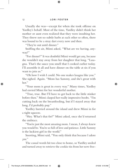⊕

Usually she was—except for when she took offense on Yardley's behalf. Most of the time, Yardley didn't think her mother or aunt even realized that they were insulting her. They threw not-so-subtle barbs at each other so often, there was bound to be a stray dart every now and then.

"They're out until dinner."

Sniffing the air, Mimi asked, "What are we having, anyway?"

"For dinner?" It was doubtful Mimi would get any, because she wouldn't stay away from her daughter that long. "Lasagna. That's the sauce you smell that I cooked earlier today. I'll assemble it all and have dinner on the table at six if you want to join us."

"Oh how I wish I could. No one makes lasagna like you." She sighed. Again. "Mom has Sammy, and she's great with her."

"Your mom is great in every way." Many times, Yardley had envied Mimi for her wonderful mother.

"True, true. But I'll have to get back to the little stinker before then." Mimi clasped her really impressive boobs. "I'm cutting back on the breastfeeding, but if I stayed away that long, I'd probably pop."

Yardley hurried around the island and drew Mimi in for a tight squeeze.

"Hey. What's that for?" Mimi asked, once she'd returned the embrace.

"You're just the most amazing mom. I mean, I always knew you would be. You're so full of love and patience. Little Sammy is the luckiest girl in the world."

Snorting, Mimi said, "You only think that because I adore *you*."

The casual words hit too close to home, so Yardley smiled and turned away to retrieve the cookie tin from her new free-

↔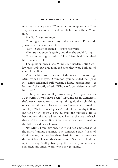⊕

standing butler's pantry. "Your adoration is appreciated." So very, very much. What would her life be like without Mimi in it?

She didn't want to know.

"Adoring you was super easy and you know it. I'm weird, you're weird, it was meant to be."

"Hey," Yardley protested. "You're not weird!"

Mimi started snort-laughing and then she couldn't stop.

"Are you getting hysterical?" Her friend hadn't laughed like that in a while.

The question only made Mimi laugh harder, until Yardley reluctantly got drawn in, and soon they were both out of control cackling.

Minutes later, to the sound of the tea kettle whistling, Mimi wiped her eyes. "Ohmigod, you defended me—*from me*," Mimi explained, still wearing a huge, lopsided grin—at least until she softly asked, "Why won't you defend yourself like that?"

Rolling her eyes, Yardley turned away. "Everyone knows I *am* weird. Always have been." Growing up in Cemetery, she'd never seemed to say the right thing, do the right thing, or act the right way. Her mother was forever embarrassed by Yardley's "lack of social graces." It'd take more digits than she had on her fingers and toes to count the number of times her mother and aunt had reminded her that she was the black sheep of the Belanger line of females, which they blamed on the father she'd never known.

Not Mimi. From day one, her friend had embraced what she called "unique qualities." She admired Yardley's lack of fashion sense, and her less than classic features that were so different from her mother's and aunt's. She even liked the rapid-fire way Yardley strung together so many unnecessary, and often unwanted, words when she got going.

The Honeym\_9781335506368\_TS\_txt\_365576.indd 13  $\bigoplus$  2/15/22 8:18 AM